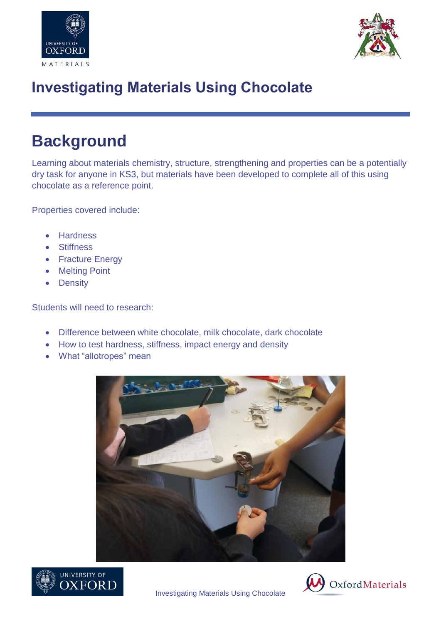



## **Investigating Materials Using Chocolate**

## **Background**

Learning about materials chemistry, structure, strengthening and properties can be a potentially dry task for anyone in KS3, but materials have been developed to complete all of this using chocolate as a reference point.

Properties covered include:

- **Hardness**
- **•** Stiffness
- Fracture Energy
- Melting Point
- Density

Students will need to research:

- Difference between white chocolate, milk chocolate, dark chocolate
- How to test hardness, stiffness, impact energy and density
- What "allotropes" mean







Investigating Materials Using Chocolate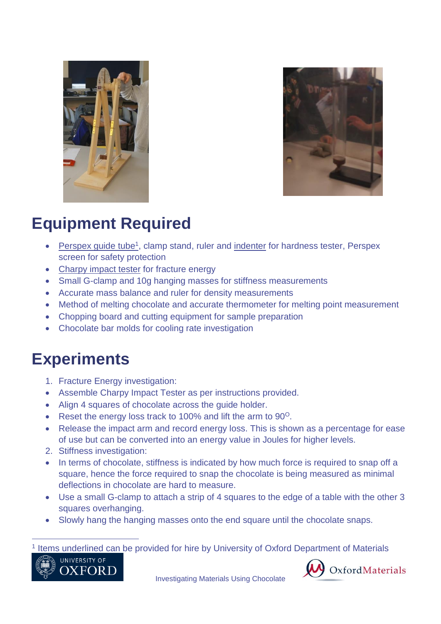



## **Equipment Required**

- Perspex guide tube<sup>1</sup>, clamp stand, ruler and indenter for hardness tester, Perspex screen for safety protection
- Charpy impact tester for fracture energy
- Small G-clamp and 10g hanging masses for stiffness measurements
- Accurate mass balance and ruler for density measurements
- Method of melting chocolate and accurate thermometer for melting point measurement
- Chopping board and cutting equipment for sample preparation
- Chocolate bar molds for cooling rate investigation

### **Experiments**

- 1. Fracture Energy investigation:
- Assemble Charpy Impact Tester as per instructions provided.
- Align 4 squares of chocolate across the guide holder.
- Reset the energy loss track to 100% and lift the arm to  $90^\circ$ .
- Release the impact arm and record energy loss. This is shown as a percentage for ease of use but can be converted into an energy value in Joules for higher levels.
- 2. Stiffness investigation:
- In terms of chocolate, stiffness is indicated by how much force is required to snap off a square, hence the force required to snap the chocolate is being measured as minimal deflections in chocolate are hard to measure.
- Use a small G-clamp to attach a strip of 4 squares to the edge of a table with the other 3 squares overhanging.
- Slowly hang the hanging masses onto the end square until the chocolate snaps.

#### <sup>1</sup> Items underlined can be provided for hire by University of Oxford Department of Materials



 $\overline{a}$ 



Investigating Materials Using Chocolate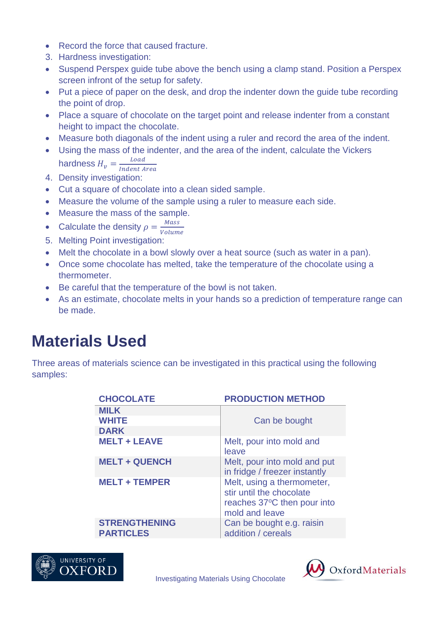- Record the force that caused fracture.
- 3. Hardness investigation:
- Suspend Perspex guide tube above the bench using a clamp stand. Position a Perspex screen infront of the setup for safety.
- Put a piece of paper on the desk, and drop the indenter down the guide tube recording the point of drop.
- Place a square of chocolate on the target point and release indenter from a constant height to impact the chocolate.
- Measure both diagonals of the indent using a ruler and record the area of the indent.
- Using the mass of the indenter, and the area of the indent, calculate the Vickers hardness  $H_v = \frac{Load}{Index A}$

Indent Area 4. Density investigation:

- Cut a square of chocolate into a clean sided sample.
- Measure the volume of the sample using a ruler to measure each side.
- Measure the mass of the sample.
- Calculate the density  $\rho = \frac{Mass}{Volum}$ Volume
- 5. Melting Point investigation:
- Melt the chocolate in a bowl slowly over a heat source (such as water in a pan).
- Once some chocolate has melted, take the temperature of the chocolate using a thermometer.
- Be careful that the temperature of the bowl is not taken.
- As an estimate, chocolate melts in your hands so a prediction of temperature range can be made.

## **Materials Used**

Three areas of materials science can be investigated in this practical using the following samples:

| <b>CHOCOLATE</b>                         | <b>PRODUCTION METHOD</b>                                                                                |
|------------------------------------------|---------------------------------------------------------------------------------------------------------|
| <b>MILK</b>                              |                                                                                                         |
| <b>WHITE</b>                             | Can be bought                                                                                           |
| <b>DARK</b>                              |                                                                                                         |
| <b>MELT + LEAVE</b>                      | Melt, pour into mold and<br>leave                                                                       |
| <b>MELT + QUENCH</b>                     | Melt, pour into mold and put<br>in fridge / freezer instantly                                           |
| <b>MELT + TEMPER</b>                     | Melt, using a thermometer,<br>stir until the chocolate<br>reaches 37°C then pour into<br>mold and leave |
| <b>STRENGTHENING</b><br><b>PARTICLES</b> | Can be bought e.g. raisin<br>addition / cereals                                                         |